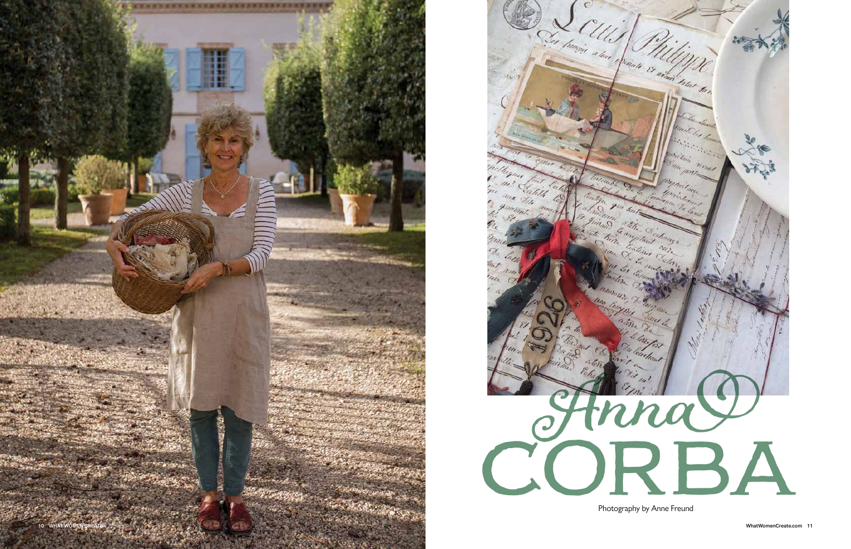Photography by Anne Freund



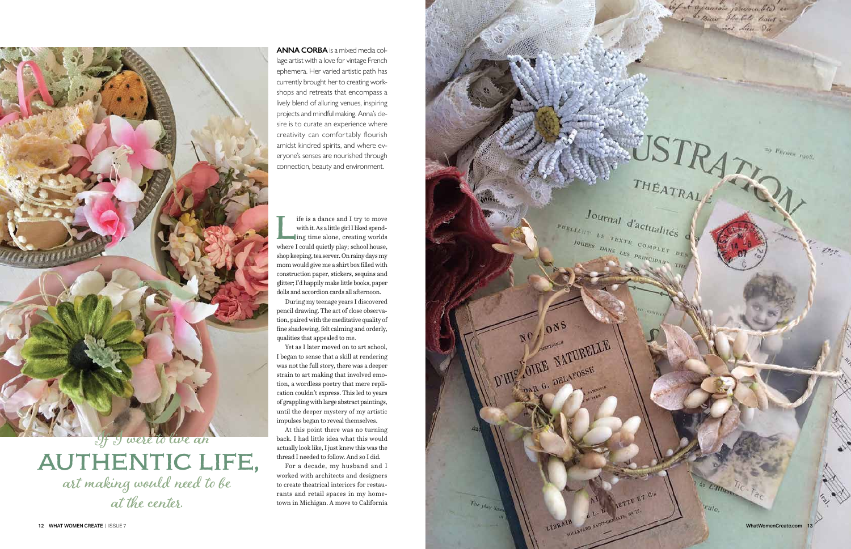If is a dance and I try to move<br>with it. As a little girl I liked spend-<br>ing time alone, creating worlds<br>where I could quietly play: school house with it. As a little girl I liked spend ing time alone, creating worlds where I could quietly play; school house, shop keeping, tea server. On rainy days my mom would give me a shirt box filled with construction paper, stickers, sequins and glitter; I'd happily make little books, paper dolls and accordion cards all afternoon.

During my teenage years I discovered pencil drawing. The act of close observa tion, paired with the meditative quality of fine shadowing, felt calming and orderly, qualities that appealed to me.

Yet as I later moved on to art school, I began to sense that a skill at rendering was not the full story, there was a deeper strain to art making that involved emo tion, a wordless poetry that mere repli cation couldn't express. This led to years of grappling with large abstract paintings, until the deeper mystery of my artistic impulses began to reveal themselves.

At this point there was no turning back. I had little idea what this would actually look like, I just knew this was the thread I needed to follow. And so I did.

For a decade, my husband and I worked with architects and designers to create theatrical interiors for restau rants and retail spaces in my home town in Michigan. A move to California  $\begin{array}{cc}\n \begin{array}{cc}\n p_{\mathcal{U}_{BLL}} & \text{if all } d' \text{actualities}\n \end{array}\n \end{array}$ 

ONS

D'HIC OIRE NATURELLE

OIRE NATURE

NO

 $\gamma_{he\; jil_{a\chi,N}}$ 

if it ajamais pressented en WSTRATING  $\equiv_0$   $F_{\rm FV80GeV}$  ,  $_{\rm 190S_s}$  $J_{\text{Our}}$ <br> $J_{\text{av}}$   $J_{\text{av}}$   $J_{\text{av}}$   $J_{\text{av}}$   $J_{\text{av}}$   $J_{\text{av}}$   $J_{\text{av}}$   $J_{\text{av}}$   $J_{\text{av}}$   $J_{\text{av}}$   $J_{\text{av}}$   $J_{\text{av}}$   $J_{\text{av}}$   $J_{\text{av}}$   $J_{\text{av}}$   $J_{\text{av}}$   $J_{\text{av}}$   $J_{\text{av}}$   $J_{\text{av}}$   $J_{\text{av}}$   $J_{\text{av}}$  JOUERS DANS LES PRINCIPAUX THE Dor de Ellines IETTE ET CIA rale, Way or 21 12 WHAT WOMEN CREATE | ISSUE 7 What WomenCreate.com 13



If I were to live an authentic life, art making would need to be at the center.

**ANNA CORBA** is a mixed media col lage artist with a love for vintage French ephemera. Her varied artistic path has currently brought her to creating workshops and retreats that encompass a lively blend of alluring venues, inspiring projects and mindful making. Anna's de sire is to curate an experience where creativity can comfortably flourish amidst kindred spirits, and where ev eryone's senses are nourished through connection, beauty and environment.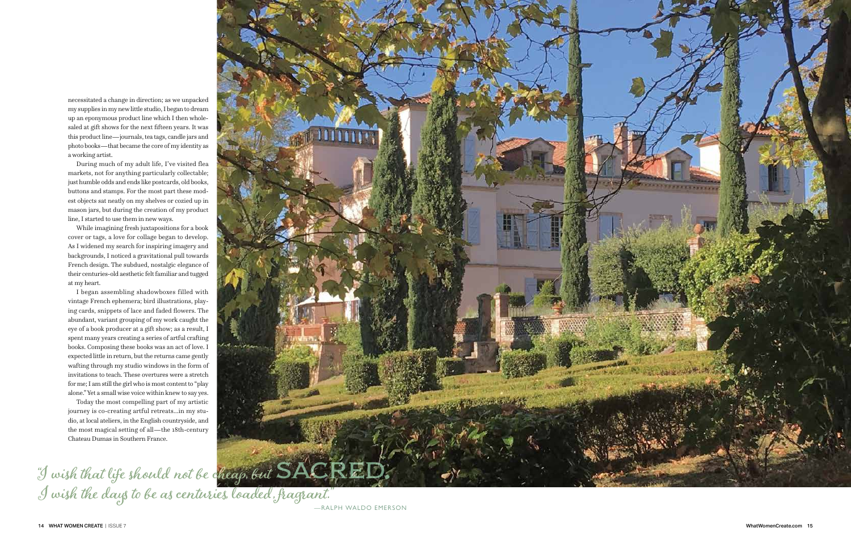necessitated a change in direction; as we unpacked my supplies in my new little studio, I began to dream up an eponymous product line which I then whole saled at gift shows for the next fifteen years. It was this product line—journals, tea tags, candle jars and photo books—that became the core of my identity as a working artist.

During much of my adult life, I've visited flea markets, not for anything particularly collectable; just humble odds and ends like postcards, old books, buttons and stamps. For the most part these mod est objects sat neatly on my shelves or cozied up in mason jars, but during the creation of my product line, I started to use them in new ways.

While imagining fresh juxtapositions for a book cover or tags, a love for collage began to develop. As I widened my search for inspiring imagery and backgrounds, I noticed a gravitational pull towards French design. The subdued, nostalgic elegance of their centuries-old aesthetic felt familiar and tugged at my heart.

## "I wish that life should not be cheap, but  $\text{SACRED}_\bullet$ I wish the days to be as centuries, loaded, fragrant."



I began assembling shadowboxes filled with vintage French ephemera; bird illustrations, play ing cards, snippets of lace and faded flowers. The abundant, variant grouping of my work caught the eye of a book producer at a gift show; as a result, I spent many years creating a series of artful crafting books. Composing these books was an act of love. I expected little in return, but the returns came gently wafting through my studio windows in the form of invitations to teach. These overtures were a stretch for me; I am still the girl who is most content to "play alone." Yet a small wise voice within knew to say yes.

Today the most compelling part of my artistic journey is co-creating artful retreats...in my stu dio, at local ateliers, in the English countryside, and the most magical setting of all—the 18th-century Chateau Dumas in Southern France.

—RALPH WALDO EMERSON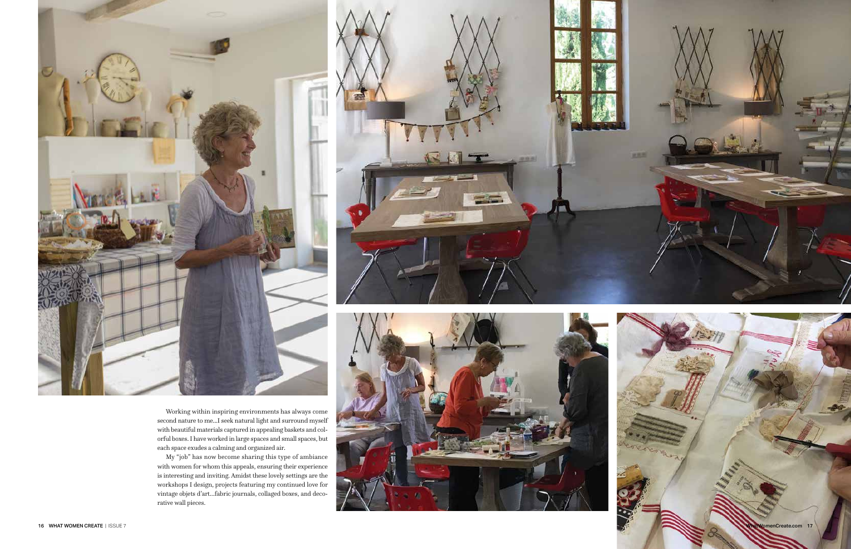



Working within inspiring environments has always come second nature to me...I seek natural light and surround myself with beautiful materials captured in appealing baskets and col orful boxes. I have worked in large spaces and small spaces, but each space exudes a calming and organized air.

My "job" has now become sharing this type of ambiance with women for whom this appeals, ensuring their experience is interesting and inviting. Amidst these lovely settings are the workshops I design, projects featuring my continued love for vintage objets d'art…fabric journals, collaged boxes, and deco rative wall pieces.